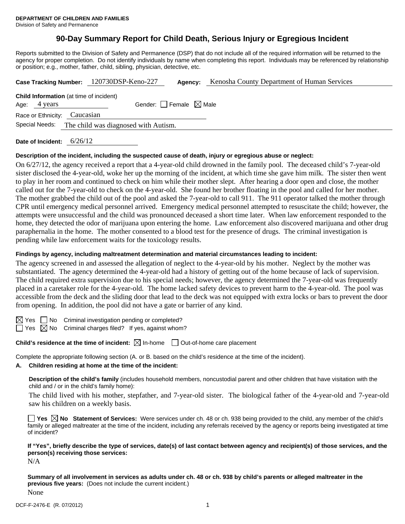# **90-Day Summary Report for Child Death, Serious Injury or Egregious Incident**

Reports submitted to the Division of Safety and Permanence (DSP) that do not include all of the required information will be returned to the agency for proper completion. Do not identify individuals by name when completing this report. Individuals may be referenced by relationship or position; e.g., mother, father, child, sibling, physician, detective, etc.

|                                                                | Case Tracking Number: 120730DSP-Keno-227 | Agency: | Kenosha County Department of Human Services |
|----------------------------------------------------------------|------------------------------------------|---------|---------------------------------------------|
| <b>Child Information</b> (at time of incident)<br>Age: 4 years | Gender: Female $\boxtimes$ Male          |         |                                             |
| Race or Ethnicity: Caucasian<br>Special Needs:                 | The child was diagnosed with Autism.     |         |                                             |
|                                                                |                                          |         |                                             |

**Date of Incident:** 6/26/12

### **Description of the incident, including the suspected cause of death, injury or egregious abuse or neglect:**

On 6/27/12, the agency received a report that a 4-year-old child drowned in the family pool. The deceased child's 7-year-old sister disclosed the 4-year-old, woke her up the morning of the incident, at which time she gave him milk. The sister then went to play in her room and continued to check on him while their mother slept. After hearing a door open and close, the mother called out for the 7-year-old to check on the 4-year-old. She found her brother floating in the pool and called for her mother. The mother grabbed the child out of the pool and asked the 7-year-old to call 911. The 911 operator talked the mother through CPR until emergency medical personnel arrived. Emergency medical personnel attempted to resuscitate the child; however, the attempts were unsuccessful and the child was pronounced deceased a short time later. When law enforcement responded to the home, they detected the odor of marijuana upon entering the home. Law enforcement also discovered marijuana and other drug paraphernalia in the home. The mother consented to a blood test for the presence of drugs. The criminal investigation is pending while law enforcement waits for the toxicology results.

### **Findings by agency, including maltreatment determination and material circumstances leading to incident:**

The agency screened in and assessed the allegation of neglect to the 4-year-old by his mother. Neglect by the mother was substantiated. The agency determined the 4-year-old had a history of getting out of the home because of lack of supervision. The child required extra supervision due to his special needs; however, the agency determined the 7-year-old was frequently placed in a caretaker role for the 4-year-old. The home lacked safety devices to prevent harm to the 4-year-old. The pool was accessible from the deck and the sliding door that lead to the deck was not equipped with extra locks or bars to prevent the door from opening. In addition, the pool did not have a gate or barrier of any kind.

 $\boxtimes$  Yes  $\Box$  No Criminal investigation pending or completed?

 $\Box$  Yes  $\boxtimes$  No Criminal charges filed? If yes, against whom?

## **Child's residence at the time of incident:**  $\boxtimes$  In-home  $\Box$  Out-of-home care placement

Complete the appropriate following section (A. or B. based on the child's residence at the time of the incident).

# **A. Children residing at home at the time of the incident:**

**Description of the child's family** (includes household members, noncustodial parent and other children that have visitation with the child and / or in the child's family home):

The child lived with his mother, stepfather, and 7-year-old sister. The biological father of the 4-year-old and 7-year-old saw his children on a weekly basis.

■ Yes **No** Statement of Services: Were services under ch. 48 or ch. 938 being provided to the child, any member of the child's family or alleged maltreater at the time of the incident, including any referrals received by the agency or reports being investigated at time of incident?

**If "Yes", briefly describe the type of services, date(s) of last contact between agency and recipient(s) of those services, and the person(s) receiving those services:** 

N/A

**Summary of all involvement in services as adults under ch. 48 or ch. 938 by child's parents or alleged maltreater in the previous five years:** (Does not include the current incident.) None